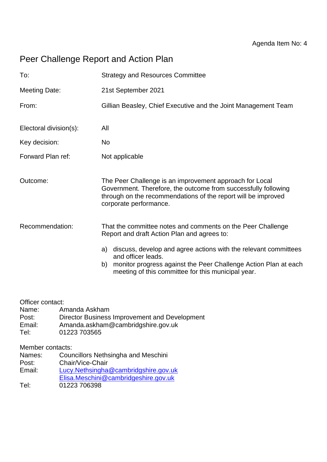# Peer Challenge Report and Action Plan

| <b>Strategy and Resources Committee</b>                                                                                                                                                                                 |
|-------------------------------------------------------------------------------------------------------------------------------------------------------------------------------------------------------------------------|
| 21st September 2021                                                                                                                                                                                                     |
| Gillian Beasley, Chief Executive and the Joint Management Team                                                                                                                                                          |
| All                                                                                                                                                                                                                     |
| No                                                                                                                                                                                                                      |
| Not applicable                                                                                                                                                                                                          |
| The Peer Challenge is an improvement approach for Local<br>Government. Therefore, the outcome from successfully following<br>through on the recommendations of the report will be improved<br>corporate performance.    |
| That the committee notes and comments on the Peer Challenge<br>Report and draft Action Plan and agrees to:                                                                                                              |
| a) discuss, develop and agree actions with the relevant committees<br>and officer leads.<br>monitor progress against the Peer Challenge Action Plan at each<br>b)<br>meeting of this committee for this municipal year. |
|                                                                                                                                                                                                                         |

Officer contact:

- Name: Amanda Askham
- Post: Director Business Improvement and Development<br>
Email: Amanda.askham@cambridgshire.gov.uk
- Email: Amanda.askham@cambridgshire.gov.uk
- Tel: 01223 703565

Member contacts:

Names: Councillors Nethsingha and Meschini

Post: Chair/Vice-Chair

Email: [Lucy.Nethsingha@cambridgshire.gov.uk](mailto:Lucy.Nethsingha@cambridgshire.gov.uk/)

[Elisa.Meschini@cambridgeshire.gov.uk](mailto:Elisa.Meschini@cambridgeshire.gov.uk)

Tel: 01223 706398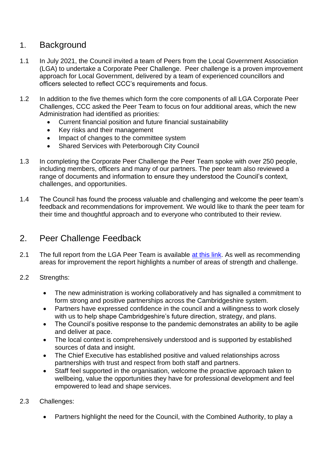## 1. Background

- 1.1 In July 2021, the Council invited a team of Peers from the Local Government Association (LGA) to undertake a Corporate Peer Challenge. Peer challenge is a proven improvement approach for Local Government, delivered by a team of experienced councillors and officers selected to reflect CCC's requirements and focus.
- 1.2 In addition to the five themes which form the core components of all LGA Corporate Peer Challenges, CCC asked the Peer Team to focus on four additional areas, which the new Administration had identified as priorities:
	- Current financial position and future financial sustainability
	- Key risks and their management
	- Impact of changes to the committee system
	- Shared Services with Peterborough City Council
- 1.3 In completing the Corporate Peer Challenge the Peer Team spoke with over 250 people, including members, officers and many of our partners. The peer team also reviewed a range of documents and information to ensure they understood the Council's context, challenges, and opportunities.
- 1.4 The Council has found the process valuable and challenging and welcome the peer team's feedback and recommendations for improvement. We would like to thank the peer team for their time and thoughtful approach and to everyone who contributed to their review.

## 2. Peer Challenge Feedback

- 2.1 The full report from the LGA Peer Team is available [at this link.](https://www.cambridgeshire.gov.uk/council/briefings-and-reports/local-government-association-peer-challenge-report) As well as recommending areas for improvement the report highlights a number of areas of strength and challenge.
- 2.2 Strengths:
	- The new administration is working collaboratively and has signalled a commitment to form strong and positive partnerships across the Cambridgeshire system.
	- Partners have expressed confidence in the council and a willingness to work closely with us to help shape Cambridgeshire's future direction, strategy, and plans.
	- The Council's positive response to the pandemic demonstrates an ability to be agile and deliver at pace.
	- The local context is comprehensively understood and is supported by established sources of data and insight.
	- The Chief Executive has established positive and valued relationships across partnerships with trust and respect from both staff and partners.
	- Staff feel supported in the organisation, welcome the proactive approach taken to wellbeing, value the opportunities they have for professional development and feel empowered to lead and shape services.
- 2.3 Challenges:
	- Partners highlight the need for the Council, with the Combined Authority, to play a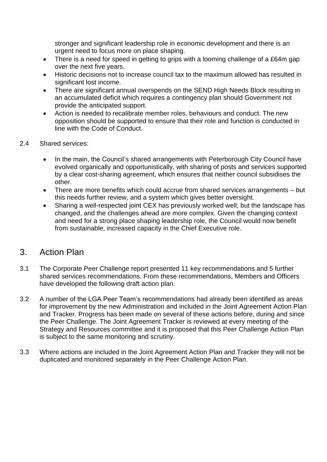stronger and significant leadership role in economic development and there is an urgent need to focus more on place shaping.

- There is a need for speed in getting to grips with a looming challenge of a £64m gap over the next five years.
- Historic decisions not to increase council tax to the maximum allowed has resulted in significant lost income.
- There are significant annual overspends on the SEND High Needs Block resulting in an accumulated deficit which requires a contingency plan should Government not provide the anticipated support.
- Action is needed to recalibrate member roles, behaviours and conduct. The new opposition should be supported to ensure that their role and function is conducted in line with the Code of Conduct.
- 2.4 Shared services:
	- In the main, the Council's shared arrangements with Peterborough City Council have evolved organically and opportunistically, with sharing of posts and services supported by a clear cost-sharing agreement, which ensures that neither council subsidises the other.
	- There are more benefits which could accrue from shared services arrangements but this needs further review, and a system which gives better oversight.
	- Sharing a well-respected joint CEX has previously worked well, but the landscape has changed, and the challenges ahead are more complex. Given the changing context and need for a strong place shaping leadership role, the Council would now benefit from sustainable, increased capacity in the Chief Executive role.

## 3. Action Plan

- 3.1 The Corporate Peer Challenge report presented 11 key recommendations and 5 further shared services recommendations. From these recommendations, Members and Officers have developed the following draft action plan.
- 3.2 A number of the LGA Peer Team's recommendations had already been identified as areas for improvement by the new Administration and included in the Joint Agreement Action Plan and Tracker. Progress has been made on several of these actions before, during and since the Peer Challenge. The Joint Agreement Tracker is reviewed at every meeting of the Strategy and Resources committee and it is proposed that this Peer Challenge Action Plan is subject to the same monitoring and scrutiny.
- 3.3 Where actions are included in the Joint Agreement Action Plan and Tracker they will not be duplicated and monitored separately in the Peer Challenge Action Plan.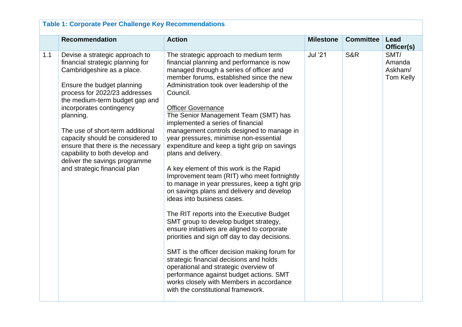|     | <b>Recommendation</b>                                                                                                                                                                                                                                                                                                                                                                                                                                       | <b>Action</b>                                                                                                                                                                                                                                                                                                                                                                                                                                                                                                                                                                                                                                                                                                                                                                                                                                                                                                                                                                                                                                                                                                                                                                             | <b>Milestone</b> | <b>Committee</b> | Lead<br>Officer(s)                     |
|-----|-------------------------------------------------------------------------------------------------------------------------------------------------------------------------------------------------------------------------------------------------------------------------------------------------------------------------------------------------------------------------------------------------------------------------------------------------------------|-------------------------------------------------------------------------------------------------------------------------------------------------------------------------------------------------------------------------------------------------------------------------------------------------------------------------------------------------------------------------------------------------------------------------------------------------------------------------------------------------------------------------------------------------------------------------------------------------------------------------------------------------------------------------------------------------------------------------------------------------------------------------------------------------------------------------------------------------------------------------------------------------------------------------------------------------------------------------------------------------------------------------------------------------------------------------------------------------------------------------------------------------------------------------------------------|------------------|------------------|----------------------------------------|
| 1.1 | Devise a strategic approach to<br>financial strategic planning for<br>Cambridgeshire as a place.<br>Ensure the budget planning<br>process for 2022/23 addresses<br>the medium-term budget gap and<br>incorporates contingency<br>planning.<br>The use of short-term additional<br>capacity should be considered to<br>ensure that there is the necessary<br>capability to both develop and<br>deliver the savings programme<br>and strategic financial plan | The strategic approach to medium term<br>financial planning and performance is now<br>managed through a series of officer and<br>member forums, established since the new<br>Administration took over leadership of the<br>Council.<br><b>Officer Governance</b><br>The Senior Management Team (SMT) has<br>implemented a series of financial<br>management controls designed to manage in<br>year pressures, minimise non-essential<br>expenditure and keep a tight grip on savings<br>plans and delivery.<br>A key element of this work is the Rapid<br>Improvement team (RIT) who meet fortnightly<br>to manage in year pressures, keep a tight grip<br>on savings plans and delivery and develop<br>ideas into business cases.<br>The RIT reports into the Executive Budget<br>SMT group to develop budget strategy,<br>ensure initiatives are aligned to corporate<br>priorities and sign off day to day decisions.<br>SMT is the officer decision making forum for<br>strategic financial decisions and holds<br>operational and strategic overview of<br>performance against budget actions. SMT<br>works closely with Members in accordance<br>with the constitutional framework. | <b>Jul '21</b>   | <b>S&amp;R</b>   | SMT/<br>Amanda<br>Askham/<br>Tom Kelly |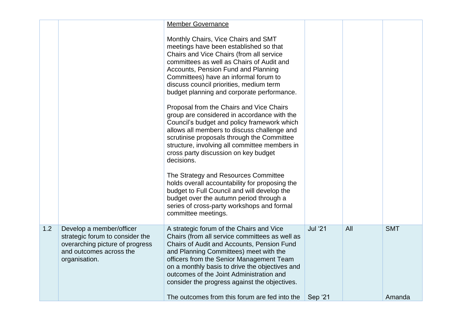|     |                                                                                                                                            | <b>Member Governance</b>                                                                                                                                                                                                                                                                                                                                                      |                |     |            |
|-----|--------------------------------------------------------------------------------------------------------------------------------------------|-------------------------------------------------------------------------------------------------------------------------------------------------------------------------------------------------------------------------------------------------------------------------------------------------------------------------------------------------------------------------------|----------------|-----|------------|
|     |                                                                                                                                            | Monthly Chairs, Vice Chairs and SMT<br>meetings have been established so that<br>Chairs and Vice Chairs (from all service<br>committees as well as Chairs of Audit and<br>Accounts, Pension Fund and Planning<br>Committees) have an informal forum to<br>discuss council priorities, medium term<br>budget planning and corporate performance.                               |                |     |            |
|     |                                                                                                                                            | Proposal from the Chairs and Vice Chairs<br>group are considered in accordance with the<br>Council's budget and policy framework which<br>allows all members to discuss challenge and<br>scrutinise proposals through the Committee<br>structure, involving all committee members in<br>cross party discussion on key budget<br>decisions.                                    |                |     |            |
|     |                                                                                                                                            | The Strategy and Resources Committee<br>holds overall accountability for proposing the<br>budget to Full Council and will develop the<br>budget over the autumn period through a<br>series of cross-party workshops and formal<br>committee meetings.                                                                                                                         |                |     |            |
| 1.2 | Develop a member/officer<br>strategic forum to consider the<br>overarching picture of progress<br>and outcomes across the<br>organisation. | A strategic forum of the Chairs and Vice<br>Chairs (from all service committees as well as<br>Chairs of Audit and Accounts, Pension Fund<br>and Planning Committees) meet with the<br>officers from the Senior Management Team<br>on a monthly basis to drive the objectives and<br>outcomes of the Joint Administration and<br>consider the progress against the objectives. | <b>Jul '21</b> | All | <b>SMT</b> |
|     |                                                                                                                                            | The outcomes from this forum are fed into the                                                                                                                                                                                                                                                                                                                                 | Sep '21        |     | Amanda     |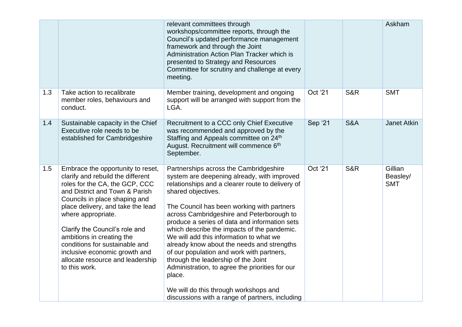|     |                                                                                                                                                                                                                                                                                                                                                                                                                               | relevant committees through<br>workshops/committee reports, through the<br>Council's updated performance management<br>framework and through the Joint<br>Administration Action Plan Tracker which is<br>presented to Strategy and Resources<br>Committee for scrutiny and challenge at every<br>meeting.                                                                                                                                                                                                                                                                                                                                                                                        |         |                | Askham                            |
|-----|-------------------------------------------------------------------------------------------------------------------------------------------------------------------------------------------------------------------------------------------------------------------------------------------------------------------------------------------------------------------------------------------------------------------------------|--------------------------------------------------------------------------------------------------------------------------------------------------------------------------------------------------------------------------------------------------------------------------------------------------------------------------------------------------------------------------------------------------------------------------------------------------------------------------------------------------------------------------------------------------------------------------------------------------------------------------------------------------------------------------------------------------|---------|----------------|-----------------------------------|
| 1.3 | Take action to recalibrate<br>member roles, behaviours and<br>conduct.                                                                                                                                                                                                                                                                                                                                                        | Member training, development and ongoing<br>support will be arranged with support from the<br>LGA.                                                                                                                                                                                                                                                                                                                                                                                                                                                                                                                                                                                               | Oct '21 | <b>S&amp;R</b> | <b>SMT</b>                        |
| 1.4 | Sustainable capacity in the Chief<br>Executive role needs to be<br>established for Cambridgeshire                                                                                                                                                                                                                                                                                                                             | Recruitment to a CCC only Chief Executive<br>was recommended and approved by the<br>Staffing and Appeals committee on 24th<br>August. Recruitment will commence 6 <sup>th</sup><br>September.                                                                                                                                                                                                                                                                                                                                                                                                                                                                                                    | Sep '21 | <b>S&amp;A</b> | Janet Atkin                       |
| 1.5 | Embrace the opportunity to reset,<br>clarify and rebuild the different<br>roles for the CA, the GCP, CCC<br>and District and Town & Parish<br>Councils in place shaping and<br>place delivery, and take the lead<br>where appropriate.<br>Clarify the Council's role and<br>ambitions in creating the<br>conditions for sustainable and<br>inclusive economic growth and<br>allocate resource and leadership<br>to this work. | Partnerships across the Cambridgeshire<br>system are deepening already, with improved<br>relationships and a clearer route to delivery of<br>shared objectives.<br>The Council has been working with partners<br>across Cambridgeshire and Peterborough to<br>produce a series of data and information sets<br>which describe the impacts of the pandemic.<br>We will add this information to what we<br>already know about the needs and strengths<br>of our population and work with partners,<br>through the leadership of the Joint<br>Administration, to agree the priorities for our<br>place.<br>We will do this through workshops and<br>discussions with a range of partners, including | Oct '21 | <b>S&amp;R</b> | Gillian<br>Beasley/<br><b>SMT</b> |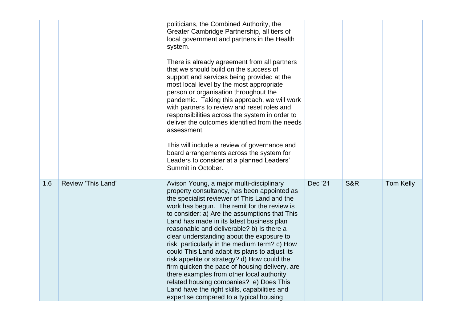|     |                    | politicians, the Combined Authority, the<br>Greater Cambridge Partnership, all tiers of<br>local government and partners in the Health<br>system.<br>There is already agreement from all partners<br>that we should build on the success of<br>support and services being provided at the<br>most local level by the most appropriate<br>person or organisation throughout the<br>pandemic. Taking this approach, we will work<br>with partners to review and reset roles and<br>responsibilities across the system in order to<br>deliver the outcomes identified from the needs<br>assessment.<br>This will include a review of governance and<br>board arrangements across the system for<br>Leaders to consider at a planned Leaders'<br>Summit in October.      |         |                |                  |
|-----|--------------------|----------------------------------------------------------------------------------------------------------------------------------------------------------------------------------------------------------------------------------------------------------------------------------------------------------------------------------------------------------------------------------------------------------------------------------------------------------------------------------------------------------------------------------------------------------------------------------------------------------------------------------------------------------------------------------------------------------------------------------------------------------------------|---------|----------------|------------------|
| 1.6 | Review 'This Land' | Avison Young, a major multi-disciplinary<br>property consultancy, has been appointed as<br>the specialist reviewer of This Land and the<br>work has begun. The remit for the review is<br>to consider: a) Are the assumptions that This<br>Land has made in its latest business plan<br>reasonable and deliverable? b) Is there a<br>clear understanding about the exposure to<br>risk, particularly in the medium term? c) How<br>could This Land adapt its plans to adjust its<br>risk appetite or strategy? d) How could the<br>firm quicken the pace of housing delivery, are<br>there examples from other local authority<br>related housing companies? e) Does This<br>Land have the right skills, capabilities and<br>expertise compared to a typical housing | Dec '21 | <b>S&amp;R</b> | <b>Tom Kelly</b> |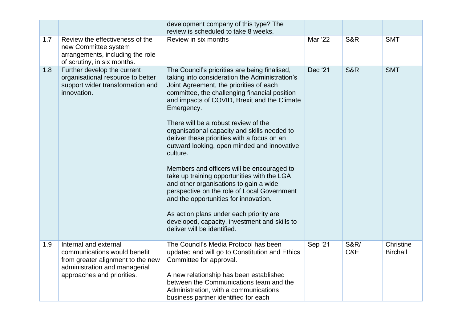|     |                                                                                                                                                           | development company of this type? The<br>review is scheduled to take 8 weeks.                                                                                                                                                                                                                                                                                                                                                                                                                                                                                                                                                                                                                                                                                                                                         |         |                        |                              |
|-----|-----------------------------------------------------------------------------------------------------------------------------------------------------------|-----------------------------------------------------------------------------------------------------------------------------------------------------------------------------------------------------------------------------------------------------------------------------------------------------------------------------------------------------------------------------------------------------------------------------------------------------------------------------------------------------------------------------------------------------------------------------------------------------------------------------------------------------------------------------------------------------------------------------------------------------------------------------------------------------------------------|---------|------------------------|------------------------------|
| 1.7 | Review the effectiveness of the<br>new Committee system<br>arrangements, including the role<br>of scrutiny, in six months.                                | Review in six months                                                                                                                                                                                                                                                                                                                                                                                                                                                                                                                                                                                                                                                                                                                                                                                                  | Mar '22 | <b>S&amp;R</b>         | <b>SMT</b>                   |
| 1.8 | Further develop the current<br>organisational resource to better<br>support wider transformation and<br>innovation.                                       | The Council's priorities are being finalised,<br>taking into consideration the Administration's<br>Joint Agreement, the priorities of each<br>committee, the challenging financial position<br>and impacts of COVID, Brexit and the Climate<br>Emergency.<br>There will be a robust review of the<br>organisational capacity and skills needed to<br>deliver these priorities with a focus on an<br>outward looking, open minded and innovative<br>culture.<br>Members and officers will be encouraged to<br>take up training opportunities with the LGA<br>and other organisations to gain a wide<br>perspective on the role of Local Government<br>and the opportunities for innovation.<br>As action plans under each priority are<br>developed, capacity, investment and skills to<br>deliver will be identified. | Dec '21 | <b>S&amp;R</b>         | <b>SMT</b>                   |
| 1.9 | Internal and external<br>communications would benefit<br>from greater alignment to the new<br>administration and managerial<br>approaches and priorities. | The Council's Media Protocol has been<br>updated and will go to Constitution and Ethics<br>Committee for approval.<br>A new relationship has been established<br>between the Communications team and the<br>Administration, with a communications<br>business partner identified for each                                                                                                                                                                                                                                                                                                                                                                                                                                                                                                                             | Sep '21 | <b>S&amp;R/</b><br>C&E | Christine<br><b>Birchall</b> |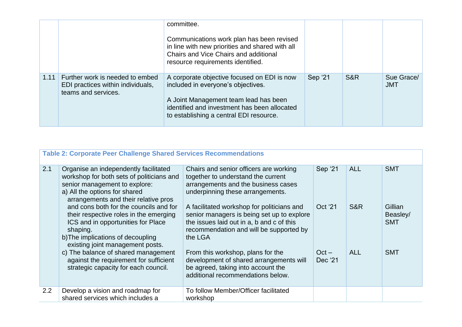|      |                                                                                             | committee.<br>Communications work plan has been revised<br>in line with new priorities and shared with all<br>Chairs and Vice Chairs and additional<br>resource requirements identified.                              |         |     |                          |
|------|---------------------------------------------------------------------------------------------|-----------------------------------------------------------------------------------------------------------------------------------------------------------------------------------------------------------------------|---------|-----|--------------------------|
| 1.11 | Further work is needed to embed<br>EDI practices within individuals,<br>teams and services. | A corporate objective focused on EDI is now<br>included in everyone's objectives.<br>A Joint Management team lead has been<br>identified and investment has been allocated<br>to establishing a central EDI resource. | Sep '21 | S&R | Sue Grace/<br><b>JMT</b> |

|     | <b>Table 2: Corporate Peer Challenge Shared Services Recommendations</b>                                                                                                                                    |                                                                                                                                                                                             |                    |            |                                   |  |  |
|-----|-------------------------------------------------------------------------------------------------------------------------------------------------------------------------------------------------------------|---------------------------------------------------------------------------------------------------------------------------------------------------------------------------------------------|--------------------|------------|-----------------------------------|--|--|
| 2.1 | Organise an independently facilitated<br>workshop for both sets of politicians and<br>senior management to explore:<br>a) All the options for shared<br>arrangements and their relative pros                | Chairs and senior officers are working<br>together to understand the current<br>arrangements and the business cases<br>underpinning these arrangements.                                     | Sep '21            | <b>ALL</b> | <b>SMT</b>                        |  |  |
|     | and cons both for the councils and for<br>their respective roles in the emerging<br>ICS and in opportunities for Place<br>shaping.<br>b) The implications of decoupling<br>existing joint management posts. | A facilitated workshop for politicians and<br>senior managers is being set up to explore<br>the issues laid out in a, b and c of this<br>recommendation and will be supported by<br>the LGA | Oct '21            | S&R        | Gillian<br>Beasley/<br><b>SMT</b> |  |  |
|     | c) The balance of shared management<br>against the requirement for sufficient<br>strategic capacity for each council.                                                                                       | From this workshop, plans for the<br>development of shared arrangements will<br>be agreed, taking into account the<br>additional recommendations below.                                     | $Oct -$<br>Dec '21 | <b>ALL</b> | <b>SMT</b>                        |  |  |
| 2.2 | Develop a vision and roadmap for<br>shared services which includes a                                                                                                                                        | To follow Member/Officer facilitated<br>workshop                                                                                                                                            |                    |            |                                   |  |  |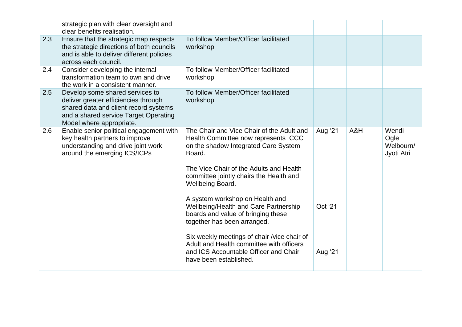|     | strategic plan with clear oversight and<br>clear benefits realisation.                                                                                                                |                                                                                                                                                                                                                                              |         |     |                                          |
|-----|---------------------------------------------------------------------------------------------------------------------------------------------------------------------------------------|----------------------------------------------------------------------------------------------------------------------------------------------------------------------------------------------------------------------------------------------|---------|-----|------------------------------------------|
| 2.3 | Ensure that the strategic map respects<br>the strategic directions of both councils<br>and is able to deliver different policies<br>across each council.                              | To follow Member/Officer facilitated<br>workshop                                                                                                                                                                                             |         |     |                                          |
| 2.4 | Consider developing the internal<br>transformation team to own and drive<br>the work in a consistent manner.                                                                          | To follow Member/Officer facilitated<br>workshop                                                                                                                                                                                             |         |     |                                          |
| 2.5 | Develop some shared services to<br>deliver greater efficiencies through<br>shared data and client record systems<br>and a shared service Target Operating<br>Model where appropriate. | To follow Member/Officer facilitated<br>workshop                                                                                                                                                                                             |         |     |                                          |
| 2.6 | Enable senior political engagement with<br>key health partners to improve<br>understanding and drive joint work<br>around the emerging ICS/ICPs                                       | The Chair and Vice Chair of the Adult and<br>Health Committee now represents CCC<br>on the shadow Integrated Care System<br>Board.<br>The Vice Chair of the Adults and Health<br>committee jointly chairs the Health and<br>Wellbeing Board. | Aug '21 | A&H | Wendi<br>Ogle<br>Welbourn/<br>Jyoti Atri |
|     |                                                                                                                                                                                       | A system workshop on Health and<br>Wellbeing/Health and Care Partnership<br>boards and value of bringing these<br>together has been arranged.                                                                                                | Oct '21 |     |                                          |
|     |                                                                                                                                                                                       | Six weekly meetings of chair /vice chair of<br>Adult and Health committee with officers<br>and ICS Accountable Officer and Chair<br>have been established.                                                                                   | Aug '21 |     |                                          |